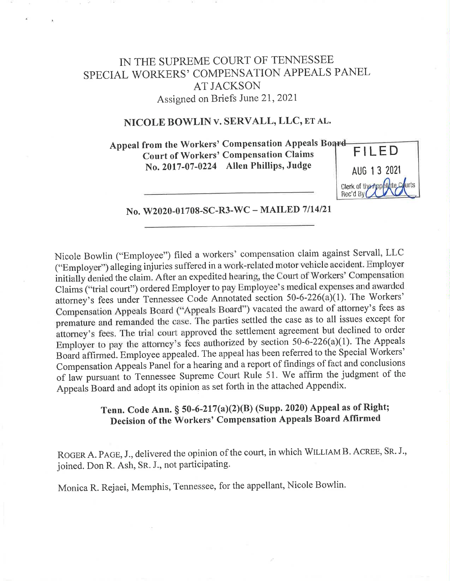# IN THE SUPREME COURT OF TENNESSEE SPECIAL WORKERS' COMPENSATION APPEALS PANEL AT JACKSON Assigned on Briefs June 21, <sup>2021</sup>

## NICOLE BOWLIN v. SERVALL, LLC, ET AL.

Appeal from the Workers' Compensation Appeals Board-Court of Workers' Compensation Claims No. 2017-07-0224 Allen Phillips, Judge



No. W2020-01708-SC-R3-WC — MAILED 7/14/21

Nicole Bowlin ("Employee") filed a workers' compensation claim against Servall, LLC ("Employer") alleging injuries suffered in a work-related motor vehicle accident. Employer initially denied the claim. After an expedited hearing, the Court of Workers' Compensation Claims ("trial court") ordered Employer to pay Employee's medical expenses and awarded attorney's fees under Tennessee Code Annotated section 50-6-226(a)(1). The Workers' Compensation Appeals Board ("Appeals Board") vacated the award of attorney's fees as premature and rernanded the case. The parties settled the case as to all issues except for attorney's fees. The trial court approved the settlement agreement but declined to order Employer to pay the attorney's fees authorized by section 50-6-226(a)(1). The Appeals Board affirmed. Employee appealed. The appeal has been referred to the Special Workers' Compensation Appeals Panel for a hearing and a report of findings of fact and conclusions of law pursuant to Tennessee Supreme Court Rule 51. We affirm the judgment of the Appeals Board and adopt its opinion as set forth in the attached Appendix.

# Tenn. Code Ann. § 50-6-217(a)(2)(B) (Supp. 2020) Appeal as of Right; Decision of the Workers' Compensation Appeals Board Affirmed

ROGER A. PAGE, J., delivered the opinion of the court, in which WILLIAM B. ACREE, SR. J., joined. Don R. Ash, SR. J., not participating.

Monica R. Rejaei, Memphis, Tennessee, for the appellant, Nicole Bowlin.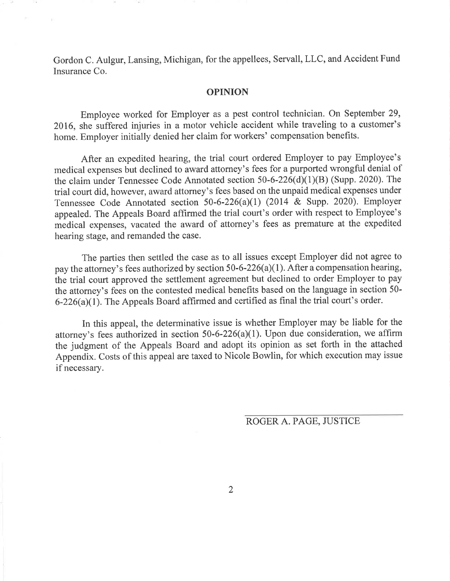Gordon C. Aulgur, Lansing, Michigan, for the appellees, Servall, LLC, and Accident Fund Insurance Co.

#### OPINION

Employee worked for Employer as a pest control technician. On September 29, 2016, she suffered injuries in a motor vehicle accident while traveling to a customer's home. Employer initially denied her claim for workers' compensation benefits.

After an expedited hearing, the trial court ordered Employer to pay Employee's medical expenses but declined to award attorney's fees for a purported wrongful denial of the claim under Tennessee Code Annotated section 50-6-226(d)(1)(B) (Supp. 2020). The trial court did, however, award attorney's fees based on the unpaid medical expenses under Tennessee Code Annotated section 50-6-226(a)(1) (2014 & Supp. 2020). Employer appealed. The Appeals Board affirmed the trial court's order with respect to Employee's medical expenses, vacated the award of attorney's fees as premature at the expedited hearing stage, and remanded the case.

The parties then settled the case as to all issues except Employer did not agree to pay the attorney's fees authorized by section 50-6-226(a)(1). After a compensation hearing, the trial court approved the settlement agreement but declined to order Employer to pay the attorney's fees on the contested medical benefits based on the language in section 50- 6-226(a)(1). The Appeals Board affirmed and certified as final the trial court's order.

In this appeal, the determinative issue is whether Employer may be liable for the attorney's fees authorized in section 50-6-226(a)(1). Upon due consideration, we affirm the judgment of the Appeals Board and adopt its opinion as set forth in the attached Appendix. Costs of this appeal are taxed to Nicole Bowlin, for which execution may issue if necessary.

ROGER A. PAGE, JUSTICE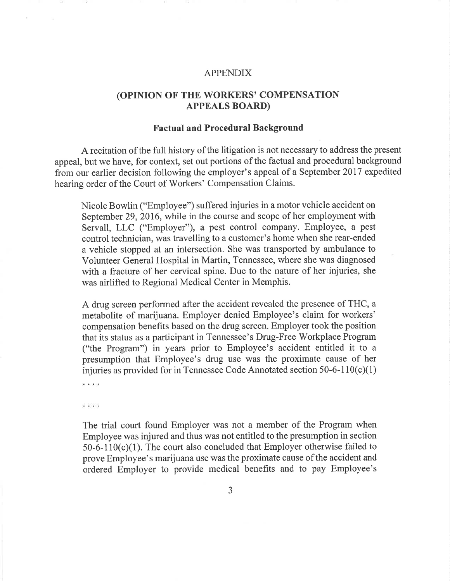### APPENDIX

## (OPINION OF THE WORKERS' COMPENSATION APPEALS BOARD)

## Factual and Procedural Background

<sup>A</sup>recitation of the full history of the litigation is not necessary to address the present appeal, but we have, for context, set out portions of the factual and procedural background from our earlier decision following the employer's appeal of a September 2017 expedited hearing order of the Court of Workers' Compensation Claims.

Nicole Bowlin ("Employee") suffered injuries in a motor vehicle accident on September 29, 2016, while in the course and scope of her employment with Servall, LLC ("Employer"), a pest control company. Employee, a pest control technician, was travelling to a customer's home when she rear-ended <sup>a</sup>vehicle stopped at an intersection. She was transported by ambulance to Volunteer General Hospital in Martin, Tennessee, where she was diagnosed with a fracture of her cervical spine. Due to the nature of her injuries, she was airlifted to Regional Medical Center in Memphis.

<sup>A</sup>drug screen performed after the accident revealed the presence of THC, <sup>a</sup> metabolite of marijuana. Employer denied Employee's claim for workers' compensation benefits based on the drug screen. Employer took the position that its status as <sup>a</sup>participant in Tennessee's Drug-Free Workplace Program ("the Program") in years prior to Employee's accident entitled it to <sup>a</sup> presumption that Employee's drug use was the proximate cause of her injuries as provided for in Tennessee Code Annotated section  $50-6-110(c)(1)$ 

.<br>Alikuwa

. . . .

The trial court found Employer was not a member of the Program when Employee was injured and thus was not entitled to the presumption in section  $50-6-110(c)(1)$ . The court also concluded that Employer otherwise failed to prove Employee's marijuana use was the proximate cause of the accident and ordered Employer to provide medical benefits and to pay Employee's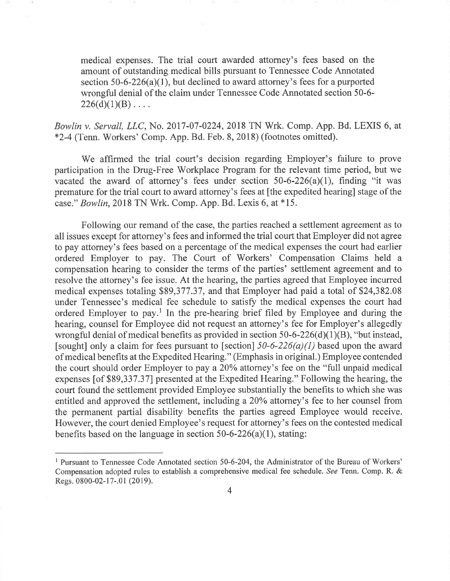medical expenses. The trial court awarded attorney's fees based on the amount of outstanding medical bills pursuant to Tennessee Code Annotated section 50-6-226(a)(1), but declined to award attorney's fees for a purported wrongful denial of the claim under Tennessee Code Annotated section 50-6-  $226(d)(1)(B) \ldots$ 

Bowlin v. Servall, LLC, No. 2017-07-0224, 2018 TN Wrk. Comp. App. Bd. LEXIS 6, at \*2-4 (Tenn. Workers' Comp. App. Bd. Feb. 8, 2018) (footnotes omitted).

We affirrned the trial court's decision regarding Employer's failure to prove participation in the Drug-Free Workplace Program for the relevant time period, but we vacated the award of attorney's fees under section  $50-6-226(a)(1)$ , finding "it was premature for the trial court to award attorney's fees at [the expedited hearing] stage of the case." Bowlin, 2018 TN Wrk. Comp. App. Bd. Lexis 6, at \*15.

Following our remand of the case, the parties reached a settlement agreement as to all issues except for attorney's fees and informed the trial court that Employer did not agree to pay attorney's fees based on a percentage of the medical expenses the court had earlier ordered Employer to pay. The Court of Workers' Compensation Claims held a compensation hearing to consider the terms of the parties' settlement agreement and to resolve the attorney's fee issue. At the hearing, the parties agreed that Employee incurred medical expenses totaling \$89,377.37, and that Employer had paid a total of \$24,382.08 under Tennessee's medical fee schedule to satisfy the medical expenses the court had ordered Employer to pay.' In the pre-hearing brief filed by Employee and during the hearing, counsel for Employee did not request an attorney's fee for Employer's allegedly wrongful denial of medical benefits as provided in section 50-6-226(d)(1)(B), "but instead, [sought] only a claim for fees pursuant to [section]  $50-6-226(a)(1)$  based upon the award of medical benefits at the Expedited Hearing." (Emphasis in original.) Employee contended the court should order Employer to pay a 20% attorney's fee on the "full unpaid medical expenses [of \$89,337.37] presented at the Expedited Hearing." Following the hearing, the court found the settlement provided Employee substantially the benefits to which she was entitled and approved the settlement, including a 20% attorney's fee to her counsel from the permanent partial disability benefits the parties agreed Employee would receive. However, the court denied Employee's request for attorney's fees on the contested medical benefits based on the language in section  $50-6-226(a)(1)$ , stating:

<sup>&</sup>lt;sup>1</sup> Pursuant to Tennessee Code Annotated section 50-6-204, the Administrator of the Bureau of Workers' Compensation adopted rules to establish a comprehensive medical fee schedule. See Tenn. Comp. R. & Regs. 0800-02-17-.01 (2019).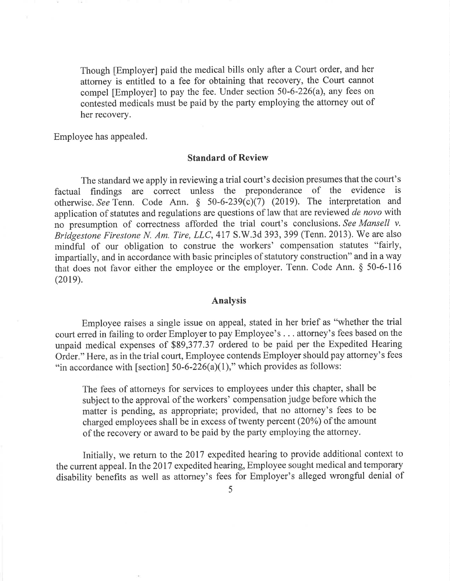Though [Employer] paid the medical bills only after a Court order, and her attorney is entitled to a fee for obtaining that recovery, the Court cannot compel [Employer] to pay the fee. Under section 50-6-226(a), any fees on contested medicals must be paid by the party employing the attorney out of her recovery.

Employee has appealed.

## Standard of Review

The standard we apply in reviewing a trial court's decision presumes that the court's factual findings are correct unless the preponderance of the evidence is otherwise. See Tenn. Code Ann. § 50-6-239(c)(7) (2019). The interpretation and application of statutes and regulations are questions of law that are reviewed de novo with no presumption of correctness afforded the trial court's conclusions. See Mansell v. Bridgestone Firestone N. Am. Tire, LLC, 417 S.W.3d 393, 399 (Tenn. 2013). We are also mindful of our obligation to construe the workers' compensation statutes "fairly, impartially, and in accordance with basic principles of statutory construction" and in a way that does not favor either the employee or the employer. Tenn. Code Ann. § 50-6-116 (2019).

#### Analysis

Employee raises a single issue on appeal, stated in her brief as "whether the trial court erred in failing to order Employer to pay Employee's . . . attorney's fees based on the unpaid medical expenses of \$89,377.37 ordered to be paid per the Expedited Hearing Order." Here, as in the trial court, Employee contends Employer should pay attorney's fees "in accordance with [section]  $50-6-226(a)(1)$ ," which provides as follows:

The fees of attorneys for services to employees under this chapter, shall be subject to the approval of the workers' compensation judge before which the matter is pending, as appropriate; provided, that no attorney's fees to be charged employees shall be in excess of twenty percent (20%) of the amount of the recovery or award to be paid by the party employing the attorney.

Initially, we return to the 2017 expedited hearing to provide additional context to the current appeal. In the 2017 expedited hearing, Employee sought medical and temporary disability benefits as well as attorney's fees for Employer's alleged wrongful denial of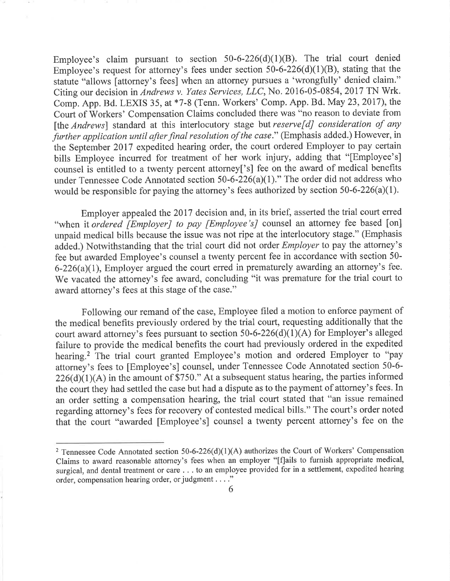Employee's claim pursuant to section  $50-6-226(d)(1)(B)$ . The trial court denied Employee's request for attorney's fees under section  $50-6-226(d)(1)(B)$ , stating that the statute "allows [attorney's fees] when an attorney pursues <sup>a</sup>'wrongfully' denied claim." Citing our decision in Andrews v. Yates Services, LLC, No. 2016-05-0854, 2017 TN Wrk. Comp. App. Bd. LEXIS 35, at \*7-8 (Tenn. Workers' Comp. App. Bd. May 23, 2017), the Court of Workers' Compensation Claims concluded there was "no reason to deviate from [the Andrews] standard at this interlocutory stage but reserve[d] consideration of any further application until after final resolution of the case." (Emphasis added.) However, in the September 2017 expedited hearing order, the court ordered Employer to pay certain bills Employee incurred for treatment of her work injury, adding that "[Employee's] counsel is entitled to a twenty percent attorney['s] fee on the award of medical benefits under Tennessee Code Annotated section 50-6-226(a)(1)." The order did not address who would be responsible for paying the attorney's fees authorized by section 50-6-226(a)(1).

Employer appealed the 2017 decision and, in its brief, asserted the trial court erred "when it ordered [Employer] to pay [Employee's] counsel an attorney fee based [on] unpaid medical bills because the issue was not ripe at the interlocutory stage." (Emphasis added.) Notwithstanding that the trial court did not order Employer to pay the attorney's fee but awarded Employee's counsel a twenty percent fee in accordance with section 50-  $6-226(a)(1)$ , Employer argued the court erred in prematurely awarding an attorney's fee. We vacated the attorney's fee award, concluding "it was premature for the trial court to award attorney's fees at this stage of the case."

Following our remand of the case, Employee filed a motion to enforce payment of the medical benefits previously ordered by the trial court, requesting additionally that the court award attorney's fees pursuant to section 50-6-226(d)(1)(A) for Employer's alleged failure to provide the medical benefits the court had previously ordered in the expedited hearing.<sup>2</sup> The trial court granted Employee's motion and ordered Employer to "pay attorney's fees to [Employee's] counsel, under Tennessee Code Annotated section 50-6-  $226(d)(1)(A)$  in the amount of \$750." At a subsequent status hearing, the parties informed the court they had settled the case but had a dispute as to the payment of attorney's fees. In an order setting a compensation hearing, the trial court stated that "an issue remained regarding attorney's fees for recovery of contested medical bills." The court's order noted that the court "awarded [Employee's] counsel a twenty percent attorney's fee on the

<sup>&</sup>lt;sup>2</sup> Tennessee Code Annotated section 50-6-226(d)(1)(A) authorizes the Court of Workers' Compensation Claims to award reasonable attorney's fees when an employer "[flails to furnish appropriate medical, surgical, and dental treatment or care . . . to an employee provided for in a settlement, expedited hearing order, compensation hearing order, or judgment . . . ."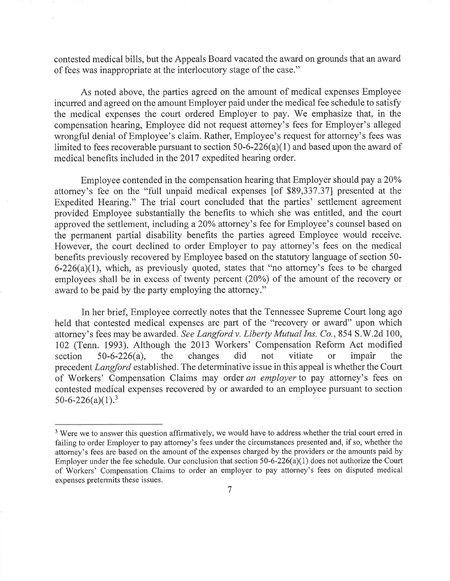contested medical bills, but the Appeals Board vacated the award on grounds that an award of fees was inappropriate at the interlocutory stage of the case."

As noted above, the parties agreed on the amount of medical expenses Employee incurred and agreed on the amount Employer paid under the medical fee schedule to satisfy the medical expenses the court ordered Employer to pay. We emphasize that, in the compensation hearing, Employee did not request attorney's fees for Employer's alleged wrongful denial of Employee's claim. Rather, Employee's request for attorney's fees was limited to fees recoverable pursuant to section 50-6-226(a)(1) and based upon the award of medical benefits included in the 2017 expedited hearing order.

Employee contended in the compensation hearing that Employer should pay a 20% attorney's fee on the "full unpaid medical expenses [of \$89,337.37] presented at the Expedited Hearing." The trial court concluded that the parties' settlement agreement provided Employee substantially the benefits to which she was entitled, and the court approved the settlement, including a 20% attorney's fee for Employee's counsel based on the permanent partial disability benefits the parties agreed Employee would receive. However, the court declined to order Employer to pay attorney's fees on the medical benefits previously recovered by Employee based on the statutory language of section 50-  $6-226(a)(1)$ , which, as previously quoted, states that "no attorney's fees to be charged employees shall be in excess of twenty percent (20%) of the amount of the recovery or award to be paid by the party employing the attorney."

In her brief, Employee correctly notes that the Tennessee Supreme Court long ago held that contested medical expenses are part of the "recovery or award" upon which attorney's fees may be awarded. See Langford v. Liberty Mutual Ins. Co., 854 S.W.2d 100, 102 (Tenn. 1993). Although the 2013 Workers' Compensation Reform Act modified section  $50-6-226(a)$ , the changes did not vitiate or impair the precedent Langford established. The determinative issue in this appeal is whether the Court of Workers' Compensation Claims may order an employer to pay attorney's fees on contested medical expenses recovered by or awarded to an employee pursuant to section  $50-6-226(a)(1).<sup>3</sup>$ 

<sup>&</sup>lt;sup>3</sup> Were we to answer this question affirmatively, we would have to address whether the trial court erred in failing to order Employer to pay attorney's fees under the circumstances presented and, if so, whether the attorney's fees are based on the amount of the expenses charged by the providers or the amounts paid by Employer under the fee schedule. Our conclusion that section 50-6-226(a)(1) does not authorize the Court of Workers' Compensation Claims to order an employer to pay attorney's fees on disputed medical expenses pretermits these issues.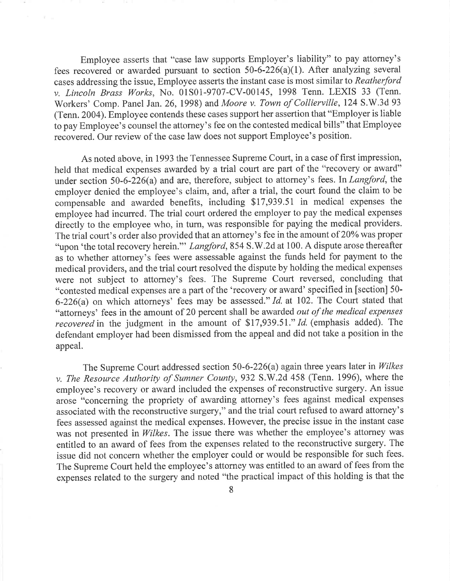Employee asserts that "case law supports Employer's liability" to pay attorney's fees recovered or awarded pursuant to section 50-6-226(a)(1). After analyzing several cases addressing the issue, Employee asserts the instant case is most similar to Reatherford v. Lincoln Brass Works, No. 01S01-9707-CV-00145, 1998 Tenn. LEXIS 33 (Tenn. Workers' Comp. Panel Jan. 26, 1998) and Moore v. Town of Collierville, 124 S.W.3d <sup>93</sup> (Tenn. 2004). Employee contends these cases support her assertion that "Employer is liable to pay Employee's counsel the attorney's fee on the contested medical bills" that Employee recovered. Our review of the case law does not support Employee's position.

As noted above, in 1993 the Tennessee Supreme Court, in a case of first impression, held that medical expenses awarded by a trial court are part of the "recovery or award" under section 50-6-226(a) and are, therefore, subject to attorney's fees. In Langford, the employer denied the employee's claim, and, after a trial, the court found the claim to be compensable and awarded benefits, including \$17,939.51 in medical expenses the employee had incurred. The trial court ordered the employer to pay the medical expenses directly to the employee who, in turn, was responsible for paying the medical providers. The trial court's order also provided that an attorney's fee in the amount of 20% was proper "upon 'the total recovery herein." Langford, 854 S.W.2d at 100. A dispute arose thereafter as to whether attorney's fees were assessable against the funds held for payment to the medical providers, and the trial court resolved the dispute by holding the medical expenses were not subject to attorney's fees. The Supreme Court reversed, concluding that "contested medical expenses are a part of the 'recovery or award' specified in [section] 50- 6-226(a) on which attorneys' fees may be assessed." Id. at 102. The Court stated that "attorneys' fees in the amount of 20 percent shall be awarded out of the medical expenses recovered in the judgment in the amount of \$17,939.51." Id. (emphasis added). The defendant employer had been dismissed from the appeal and did not take a position in the appeal.

The Supreme Court addressed section 50-6-226(a) again three years later in Wilkes v. The Resource Authority of Sumner County, 932 S.W.2d 458 (Tenn. 1996), where the employee's recovery or award included the expenses of reconstructive surgery. An issue arose "concerning the propriety of awarding attorney's fees against medical expenses associated with the reconstructive surgery," and the trial court refused to award attorney's fees assessed against the medical expenses. However, the precise issue in the instant case was not presented in Wilkes. The issue there was whether the employee's attorney was entitled to an award of fees from the expenses related to the reconstructive surgery. The issue did not concern whether the employer could or would be responsible for such fees. The Supreme Court held the employee's attorney was entitled to an award of fees from the expenses related to the surgery and noted "the practical impact of this holding is that the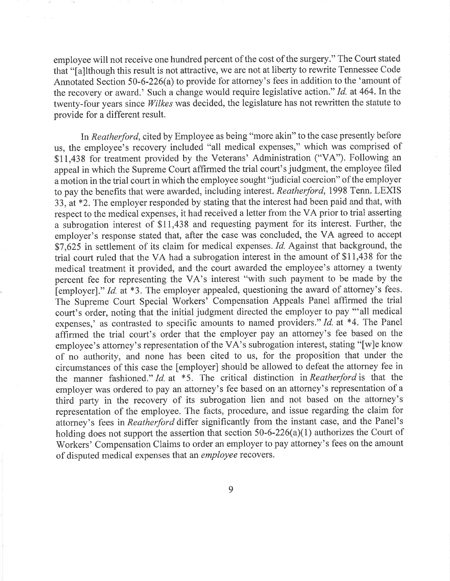employee will not receive one hundred percent of the cost of the surgery." The Court stated that "[a]lthough this result is not attractive, we are not at liberty to rewrite Tennessee Code Annotated Section 50-6-226(a) to provide for attorney's fees in addition to the 'amount of the recovery or award.' Such a change would require legislative action." Id. at 464. In the twenty-four years since Wilkes was decided, the legislature has not rewritten the statute to provide for a different result.

In Reatherford, cited by Employee as being "more akin" to the case presently before us, the employee's recovery included "all medical expenses," which was comprised of \$11,438 for treatment provided by the Veterans' Administration ("VA"). Following an appeal in which the Supreme Court affirmed the trial court's judgment, the employee filed a motion in the trial court in which the employee sought "judicial coercion" of the employer to pay the benefits that were awarded, including interest. Reatherford, 1998 Tenn. LEXIS 33, at \*2. The employer responded by stating that the interest had been paid and that, with respect to the medical expenses, it had received a letter from the VA prior to trial asserting <sup>a</sup>subrogation interest of \$11,438 and requesting payment for its interest. Further, the employer's response stated that, after the case was concluded, the VA agreed to accept \$7,625 in settlement of its claim for medical expenses. Id. Against that background, the trial court ruled that the VA had a subrogation interest in the amount of \$11,438 for the medical treatment it provided, and the court awarded the employee's attorney a twenty percent fee for representing the VA's interest "with such payment to be made by the [employer]." Id. at  $*3$ . The employer appealed, questioning the award of attorney's fees. The Supreme Court Special Workers' Compensation Appeals Panel affirmed the trial court's order, noting that the initial judgment directed the employer to pay "'all medical expenses,' as contrasted to specific amounts to named providers." Id. at \*4. The Panel affirmed the trial court's order that the employer pay an attorney's fee based on the employee's attorney's representation of the  $V\overrightarrow{A}$ 's subrogation interest, stating "[w]e know of no authority, and none has been cited to us, for the proposition that under the circumstances of this case the [employer] should be allowed to defeat the attorney fee in the manner fashioned." Id. at \*5. The critical distinction in Reatherford is that the employer was ordered to pay an attorney's fee based on an attorney's representation of <sup>a</sup> third party in the recovery of its subrogation lien and not based on the attorney's representation of the employee. The facts, procedure, and issue regarding the claim for attorney's fees in Reatherford differ significantly from the instant case, and the Panel's holding does not support the assertion that section 50-6-226(a)(1) authorizes the Court of Workers' Compensation Claims to order an employer to pay attorney's fees on the amount of disputed medical expenses that an employee recovers.

9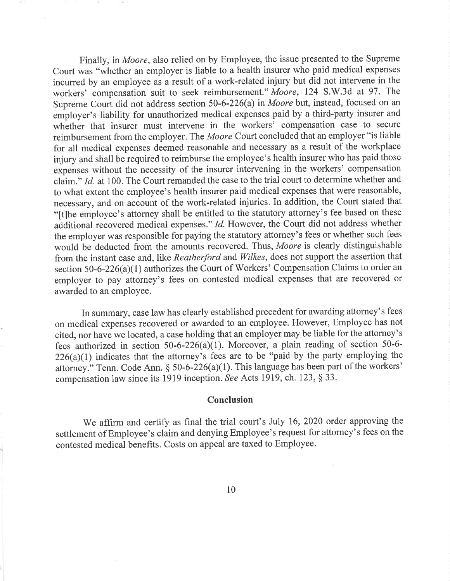Finally, in Moore, also relied on by Employee, the issue presented to the Supreme Court was "whether an employer is liable to a health insurer who paid medical expenses incurred by an employee as a result of a work-related injury but did not intervene in the workers' compensation suit to seek reimbursement." Moore, 124 S.W.3d at 97. The Supreme Court did not address section 50-6-226(a) in Moore but, instead, focused on an employer's liability for unauthorized medical expenses paid by a third-party insurer and whether that insurer must intervene in the workers' compensation case to secure reimbursement from the employer. The Moore Court concluded that an employer "is liable for all medical expenses deemed reasonable and necessary as a result of the workplace injury and shall be required to reimburse the employee's health insurer who has paid those expenses without the necessity of the insurer intervening in the workers' compensation claim." Id. at 100. The Court remanded the case to the trial court to determine whether and to what extent the employee's health insurer paid medical expenses that were reasonable, necessary, and on account of the work-related injuries. In addition, the Court stated that "[t]he employee's attorney shall be entitled to the statutory attorney's fee based on these additional recovered medical expenses." Id. However, the Court did not address whether the employer was responsible for paying the statutory attorney's fees or whether such fees would be deducted from the amounts recovered. Thus, Moore is clearly distinguishable from the instant case and, like Reatherford and Wilkes, does not support the assertion that section 50-6-226(a)(1) authorizes the Court of Workers' Compensation Claims to order an employer to pay attorney's fees on contested medical expenses that are recovered or awarded to an employee.

In summary, case law has clearly established precedent for awarding attorney's fees on medical expenses recovered or awarded to an employee. However, Employee has not cited, nor have we located, a case holding that an employer may be liable for the attorney's fees authorized in section  $50-6-226(a)(1)$ . Moreover, a plain reading of section  $50-6 226(a)(1)$  indicates that the attorney's fees are to be "paid by the party employing the attorney." Tenn. Code Ann. § 50-6-226(a)(1). This language has been part of the workers' compensation law since its 1919 inception. See Acts 1919, ch. 123, § 33.

## Conclusion

We affirm and certify as final the trial court's July 16, 2020 order approving the settlement of Employee's claim and denying Employee's request for attorney's fees on the contested medical benefits. Costs on appeal are taxed to Employee.